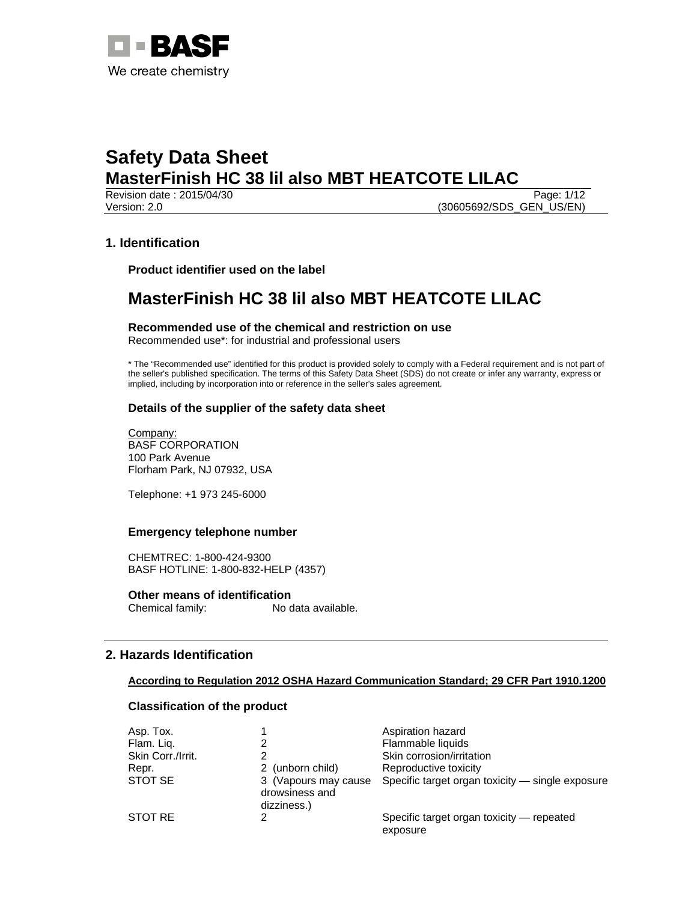

Revision date : 2015/04/30 Page: 1/12 Version: 2.0 (30605692/SDS\_GEN\_US/EN)

# **1. Identification**

**Product identifier used on the label** 

# **MasterFinish HC 38 lil also MBT HEATCOTE LILAC**

**Recommended use of the chemical and restriction on use**  Recommended use\*: for industrial and professional users

\* The "Recommended use" identified for this product is provided solely to comply with a Federal requirement and is not part of the seller's published specification. The terms of this Safety Data Sheet (SDS) do not create or infer any warranty, express or implied, including by incorporation into or reference in the seller's sales agreement.

# **Details of the supplier of the safety data sheet**

Company: BASF CORPORATION 100 Park Avenue Florham Park, NJ 07932, USA

Telephone: +1 973 245-6000

### **Emergency telephone number**

CHEMTREC: 1-800-424-9300 BASF HOTLINE: 1-800-832-HELP (4357)

**Other means of identification**<br>Chemical family: No c No data available.

# **2. Hazards Identification**

# **According to Regulation 2012 OSHA Hazard Communication Standard; 29 CFR Part 1910.1200**

### **Classification of the product**

| Asp. Tox.         |                                                       | Aspiration hazard                                     |
|-------------------|-------------------------------------------------------|-------------------------------------------------------|
| Flam. Liq.        |                                                       | Flammable liquids                                     |
| Skin Corr./Irrit. | っ                                                     | Skin corrosion/irritation                             |
| Repr.             | 2 (unborn child)                                      | Reproductive toxicity                                 |
| STOT SE           | 3 (Vapours may cause<br>drowsiness and<br>dizziness.) | Specific target organ toxicity — single exposure      |
| STOT RE           |                                                       | Specific target organ toxicity — repeated<br>exposure |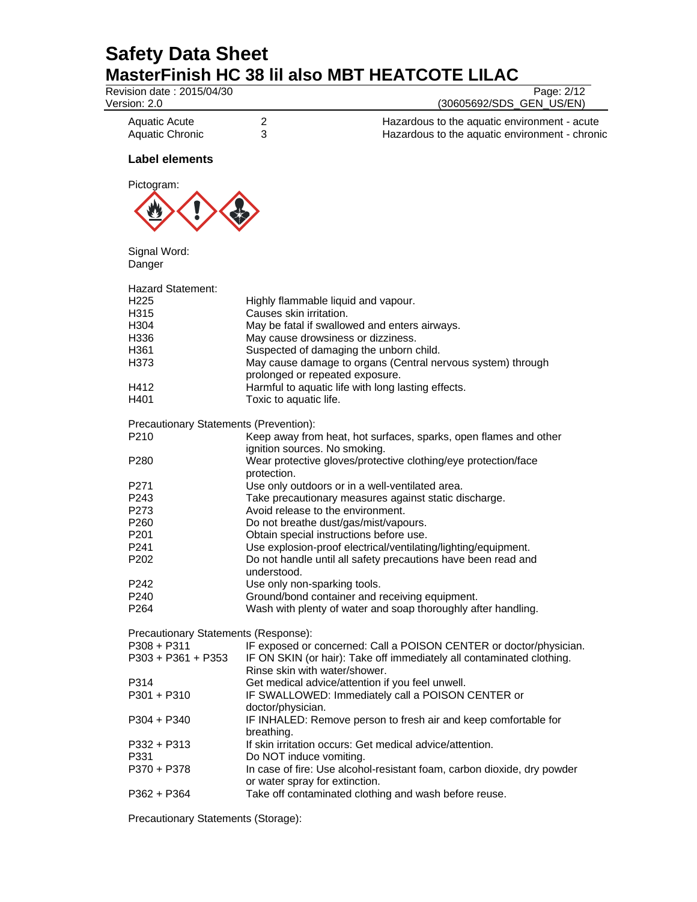| Revision date: 2015/04/30<br>Version: 2.0      |                                                                                                           | Page: 2/12<br>(30605692/SDS_GEN_US/EN)                                                         |
|------------------------------------------------|-----------------------------------------------------------------------------------------------------------|------------------------------------------------------------------------------------------------|
| <b>Aquatic Acute</b><br><b>Aquatic Chronic</b> | 2<br>3                                                                                                    | Hazardous to the aquatic environment - acute<br>Hazardous to the aquatic environment - chronic |
| <b>Label elements</b>                          |                                                                                                           |                                                                                                |
| Pictogram:                                     |                                                                                                           |                                                                                                |
|                                                |                                                                                                           |                                                                                                |
| Signal Word:<br>Danger                         |                                                                                                           |                                                                                                |
| Hazard Statement:                              |                                                                                                           |                                                                                                |
| H <sub>225</sub>                               | Highly flammable liquid and vapour.                                                                       |                                                                                                |
| H315                                           | Causes skin irritation.                                                                                   |                                                                                                |
| H304                                           | May be fatal if swallowed and enters airways.                                                             |                                                                                                |
| H336                                           | May cause drowsiness or dizziness.                                                                        |                                                                                                |
| H361                                           | Suspected of damaging the unborn child.                                                                   |                                                                                                |
| H373                                           | May cause damage to organs (Central nervous system) through                                               |                                                                                                |
|                                                | prolonged or repeated exposure.                                                                           |                                                                                                |
| H412                                           | Harmful to aquatic life with long lasting effects.                                                        |                                                                                                |
| H401                                           | Toxic to aquatic life.                                                                                    |                                                                                                |
| Precautionary Statements (Prevention):         |                                                                                                           |                                                                                                |
| P210                                           | Keep away from heat, hot surfaces, sparks, open flames and other                                          |                                                                                                |
|                                                | ignition sources. No smoking.                                                                             |                                                                                                |
| P <sub>280</sub>                               | Wear protective gloves/protective clothing/eye protection/face<br>protection.                             |                                                                                                |
| P271                                           | Use only outdoors or in a well-ventilated area.                                                           |                                                                                                |
| P243                                           | Take precautionary measures against static discharge.                                                     |                                                                                                |
| P273                                           | Avoid release to the environment.                                                                         |                                                                                                |
| P <sub>260</sub>                               | Do not breathe dust/gas/mist/vapours.                                                                     |                                                                                                |
| P201                                           | Obtain special instructions before use.                                                                   |                                                                                                |
| P <sub>241</sub>                               | Use explosion-proof electrical/ventilating/lighting/equipment.                                            |                                                                                                |
| P <sub>202</sub>                               | Do not handle until all safety precautions have been read and                                             |                                                                                                |
|                                                | understood.                                                                                               |                                                                                                |
| P242                                           | Use only non-sparking tools.                                                                              |                                                                                                |
| P240                                           | Ground/bond container and receiving equipment.                                                            |                                                                                                |
| P <sub>264</sub>                               | Wash with plenty of water and soap thoroughly after handling.                                             |                                                                                                |
| Precautionary Statements (Response):           |                                                                                                           |                                                                                                |
| $P308 + P311$                                  | IF exposed or concerned: Call a POISON CENTER or doctor/physician.                                        |                                                                                                |
| $P303 + P361 + P353$                           | IF ON SKIN (or hair): Take off immediately all contaminated clothing.<br>Rinse skin with water/shower.    |                                                                                                |
| P314                                           | Get medical advice/attention if you feel unwell.                                                          |                                                                                                |
| $P301 + P310$                                  | IF SWALLOWED: Immediately call a POISON CENTER or                                                         |                                                                                                |
|                                                | doctor/physician.                                                                                         |                                                                                                |
| $P304 + P340$                                  | IF INHALED: Remove person to fresh air and keep comfortable for                                           |                                                                                                |
|                                                | breathing.                                                                                                |                                                                                                |
| P332 + P313                                    | If skin irritation occurs: Get medical advice/attention.                                                  |                                                                                                |
| P331                                           | Do NOT induce vomiting.                                                                                   |                                                                                                |
| P370 + P378                                    | In case of fire: Use alcohol-resistant foam, carbon dioxide, dry powder<br>or water spray for extinction. |                                                                                                |
| $P362 + P364$                                  | Take off contaminated clothing and wash before reuse.                                                     |                                                                                                |
|                                                |                                                                                                           |                                                                                                |

Precautionary Statements (Storage):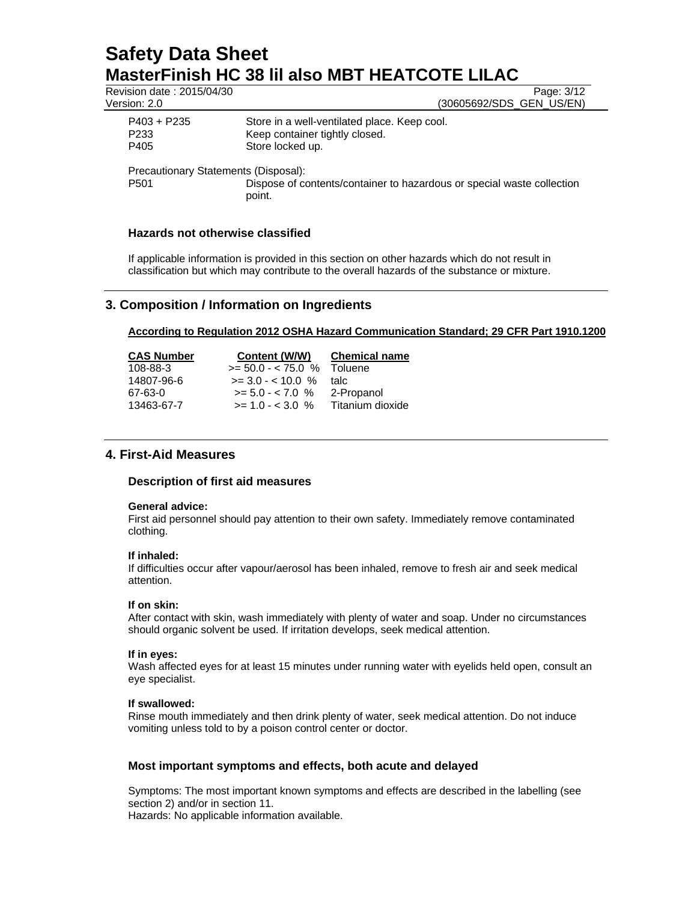| Revision date: 2015/04/30            | Page: 3/12                                                                                         |
|--------------------------------------|----------------------------------------------------------------------------------------------------|
| Version: 2.0                         | (30605692/SDS_GEN_US/EN)                                                                           |
| $P403 + P235$<br>P233<br>P405        | Store in a well-ventilated place. Keep cool.<br>Keep container tightly closed.<br>Store locked up. |
| Precautionary Statements (Disposal): |                                                                                                    |
| P501                                 | Dispose of contents/container to hazardous or special waste collection                             |

**Hazards not otherwise classified** 

If applicable information is provided in this section on other hazards which do not result in classification but which may contribute to the overall hazards of the substance or mixture.

# **3. Composition / Information on Ingredients**

point.

# **According to Regulation 2012 OSHA Hazard Communication Standard; 29 CFR Part 1910.1200**

| <b>CAS Number</b> | Content (W/W)                | <b>Chemical name</b> |
|-------------------|------------------------------|----------------------|
| 108-88-3          | $>= 50.0 - < 75.0$ % Toluene |                      |
| 14807-96-6        | $\ge$ = 3.0 - < 10.0 %       | talc                 |
| 67-63-0           | $>= 5.0 - < 7.0$ %           | 2-Propanol           |
| 13463-67-7        | $>= 1.0 - < 3.0 %$           | Titanium dioxide     |

# **4. First-Aid Measures**

### **Description of first aid measures**

### **General advice:**

First aid personnel should pay attention to their own safety. Immediately remove contaminated clothing.

### **If inhaled:**

If difficulties occur after vapour/aerosol has been inhaled, remove to fresh air and seek medical attention.

### **If on skin:**

After contact with skin, wash immediately with plenty of water and soap. Under no circumstances should organic solvent be used. If irritation develops, seek medical attention.

### **If in eyes:**

Wash affected eyes for at least 15 minutes under running water with eyelids held open, consult an eye specialist.

### **If swallowed:**

Rinse mouth immediately and then drink plenty of water, seek medical attention. Do not induce vomiting unless told to by a poison control center or doctor.

### **Most important symptoms and effects, both acute and delayed**

Symptoms: The most important known symptoms and effects are described in the labelling (see section 2) and/or in section 11.

Hazards: No applicable information available.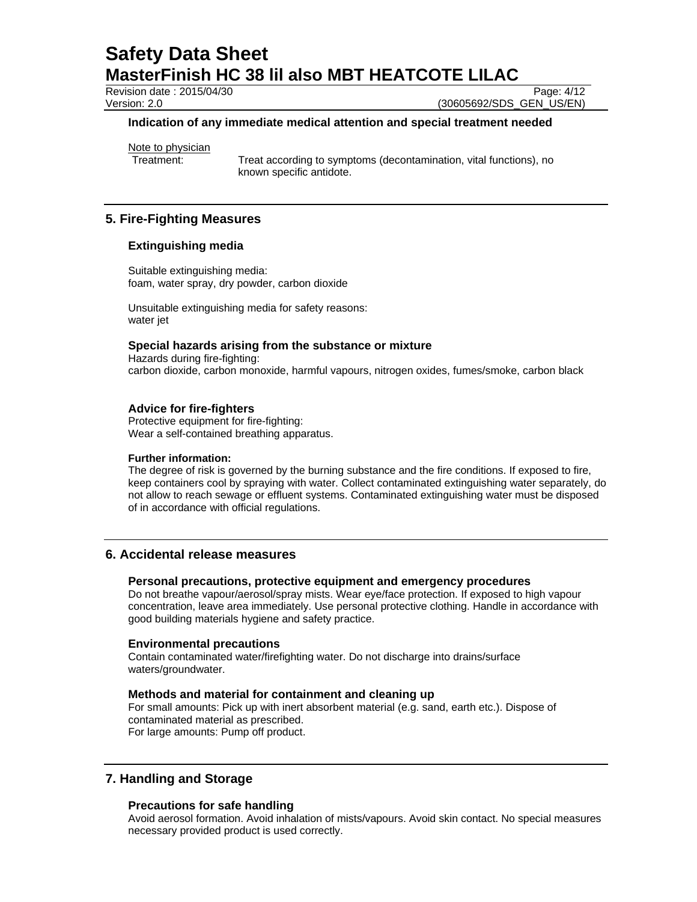Revision date : 2015/04/30 Page: 4/12

Version: 2.0 (30605692/SDS\_GEN\_US/EN)

### **Indication of any immediate medical attention and special treatment needed**

Note to physician

Treatment: Treat according to symptoms (decontamination, vital functions), no known specific antidote.

# **5. Fire-Fighting Measures**

### **Extinguishing media**

Suitable extinguishing media: foam, water spray, dry powder, carbon dioxide

Unsuitable extinguishing media for safety reasons: water jet

### **Special hazards arising from the substance or mixture**

Hazards during fire-fighting: carbon dioxide, carbon monoxide, harmful vapours, nitrogen oxides, fumes/smoke, carbon black

# **Advice for fire-fighters**

Protective equipment for fire-fighting: Wear a self-contained breathing apparatus.

### **Further information:**

The degree of risk is governed by the burning substance and the fire conditions. If exposed to fire, keep containers cool by spraying with water. Collect contaminated extinguishing water separately, do not allow to reach sewage or effluent systems. Contaminated extinguishing water must be disposed of in accordance with official regulations.

# **6. Accidental release measures**

# **Personal precautions, protective equipment and emergency procedures**

Do not breathe vapour/aerosol/spray mists. Wear eye/face protection. If exposed to high vapour concentration, leave area immediately. Use personal protective clothing. Handle in accordance with good building materials hygiene and safety practice.

### **Environmental precautions**

Contain contaminated water/firefighting water. Do not discharge into drains/surface waters/groundwater.

# **Methods and material for containment and cleaning up**

For small amounts: Pick up with inert absorbent material (e.g. sand, earth etc.). Dispose of contaminated material as prescribed. For large amounts: Pump off product.

# **7. Handling and Storage**

### **Precautions for safe handling**

Avoid aerosol formation. Avoid inhalation of mists/vapours. Avoid skin contact. No special measures necessary provided product is used correctly.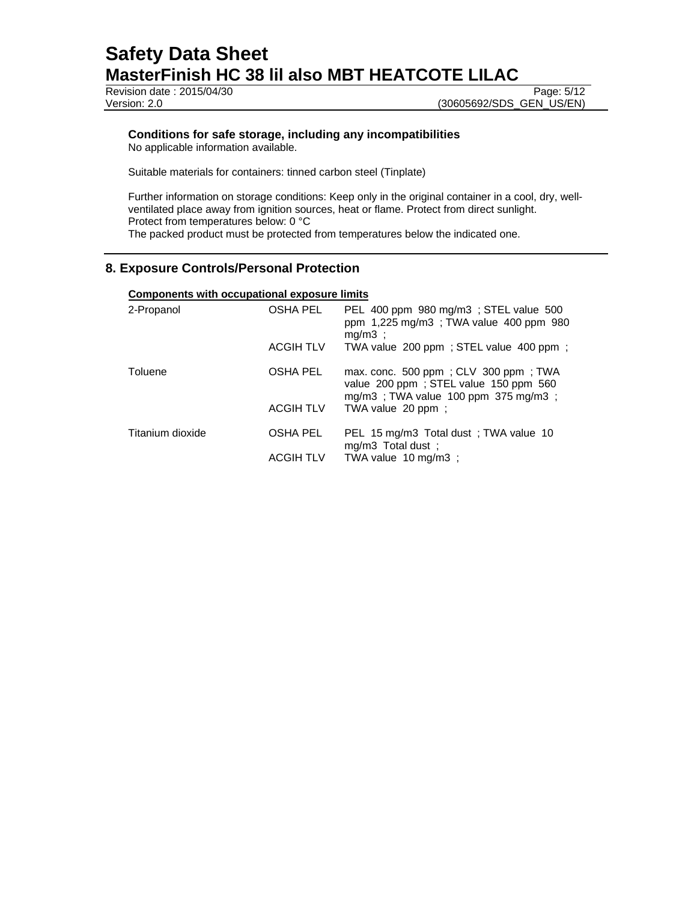**Revision date : 2015/04/30** Page: 5/12 Version: 2.0 (30605692/SDS\_GEN\_US/EN)

# **Conditions for safe storage, including any incompatibilities**

No applicable information available.

Suitable materials for containers: tinned carbon steel (Tinplate)

Further information on storage conditions: Keep only in the original container in a cool, dry, wellventilated place away from ignition sources, heat or flame. Protect from direct sunlight. Protect from temperatures below: 0 °C The packed product must be protected from temperatures below the indicated one.

# **8. Exposure Controls/Personal Protection**

# **Components with occupational exposure limits**

| 2-Propanol       | OSHA PEL         | PEL 400 ppm 980 mg/m3; STEL value 500<br>ppm 1,225 mg/m3; TWA value 400 ppm 980<br>$mq/m3$ :                                    |
|------------------|------------------|---------------------------------------------------------------------------------------------------------------------------------|
|                  | <b>ACGIH TLV</b> | TWA value 200 ppm; STEL value 400 ppm;                                                                                          |
| Toluene          | OSHA PEL         | max. conc. 500 ppm; CLV 300 ppm; TWA<br>value 200 ppm; STEL value 150 ppm 560<br>mg/m3; TWA value 100 ppm $375 \text{ mg/m3}$ ; |
|                  | <b>ACGIH TLV</b> | TWA value 20 ppm;                                                                                                               |
| Titanium dioxide | <b>OSHA PEL</b>  | PEL 15 mg/m3 Total dust : TWA value 10<br>$mg/m3$ Total dust;                                                                   |
|                  | <b>ACGIH TLV</b> | TWA value 10 mg/m3 ;                                                                                                            |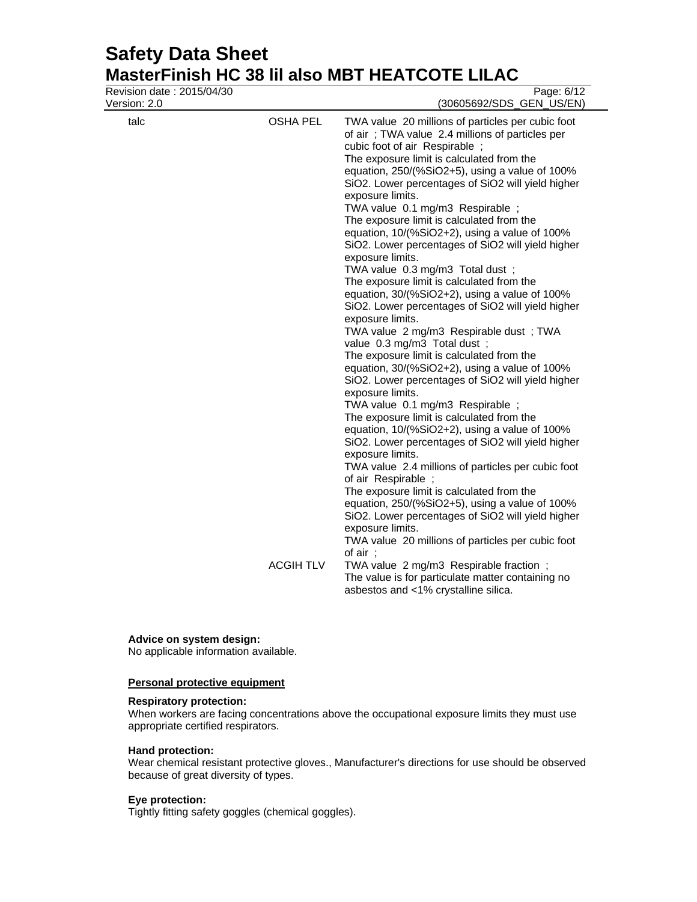# **Safety Data Sheet MasterFinish HC 38 lil also MBT HEATCOTE LILAC**<br>Revision date : 2015/04/30

| Revision date: 2015/04/30<br>Version: 2.0 |                                     | Page: 6/12<br>(30605692/SDS_GEN_US/EN)                                                                                                                                                                                                                                                                                                                                                                                                                                                                                                                                                                                                                                                                                                                                                                                                                                                                                                                                                                                                                                                                                                                                                                                                                                                                                                                                                                                                                                                                                                                                                                                                                     |
|-------------------------------------------|-------------------------------------|------------------------------------------------------------------------------------------------------------------------------------------------------------------------------------------------------------------------------------------------------------------------------------------------------------------------------------------------------------------------------------------------------------------------------------------------------------------------------------------------------------------------------------------------------------------------------------------------------------------------------------------------------------------------------------------------------------------------------------------------------------------------------------------------------------------------------------------------------------------------------------------------------------------------------------------------------------------------------------------------------------------------------------------------------------------------------------------------------------------------------------------------------------------------------------------------------------------------------------------------------------------------------------------------------------------------------------------------------------------------------------------------------------------------------------------------------------------------------------------------------------------------------------------------------------------------------------------------------------------------------------------------------------|
| talc                                      | <b>OSHA PEL</b><br><b>ACGIH TLV</b> | TWA value 20 millions of particles per cubic foot<br>of air; TWA value 2.4 millions of particles per<br>cubic foot of air Respirable;<br>The exposure limit is calculated from the<br>equation, 250/(%SiO2+5), using a value of 100%<br>SiO2. Lower percentages of SiO2 will yield higher<br>exposure limits.<br>TWA value 0.1 mg/m3 Respirable ;<br>The exposure limit is calculated from the<br>equation, 10/(%SiO2+2), using a value of 100%<br>SiO2. Lower percentages of SiO2 will yield higher<br>exposure limits.<br>TWA value 0.3 mg/m3 Total dust;<br>The exposure limit is calculated from the<br>equation, 30/(%SiO2+2), using a value of 100%<br>SiO2. Lower percentages of SiO2 will yield higher<br>exposure limits.<br>TWA value 2 mg/m3 Respirable dust; TWA<br>value 0.3 mg/m3 Total dust;<br>The exposure limit is calculated from the<br>equation, 30/(%SiO2+2), using a value of 100%<br>SiO2. Lower percentages of SiO2 will yield higher<br>exposure limits.<br>TWA value 0.1 mg/m3 Respirable;<br>The exposure limit is calculated from the<br>equation, 10/(%SiO2+2), using a value of 100%<br>SiO2. Lower percentages of SiO2 will yield higher<br>exposure limits.<br>TWA value 2.4 millions of particles per cubic foot<br>of air Respirable;<br>The exposure limit is calculated from the<br>equation, 250/(%SiO2+5), using a value of 100%<br>SiO2. Lower percentages of SiO2 will yield higher<br>exposure limits.<br>TWA value 20 millions of particles per cubic foot<br>of $air$ ;<br>TWA value 2 mg/m3 Respirable fraction;<br>The value is for particulate matter containing no<br>asbestos and <1% crystalline silica. |
|                                           |                                     |                                                                                                                                                                                                                                                                                                                                                                                                                                                                                                                                                                                                                                                                                                                                                                                                                                                                                                                                                                                                                                                                                                                                                                                                                                                                                                                                                                                                                                                                                                                                                                                                                                                            |

#### **Advice on system design:**

No applicable information available.

# **Personal protective equipment**

# **Respiratory protection:**

When workers are facing concentrations above the occupational exposure limits they must use appropriate certified respirators.

# **Hand protection:**

Wear chemical resistant protective gloves., Manufacturer's directions for use should be observed because of great diversity of types.

# **Eye protection:**

Tightly fitting safety goggles (chemical goggles).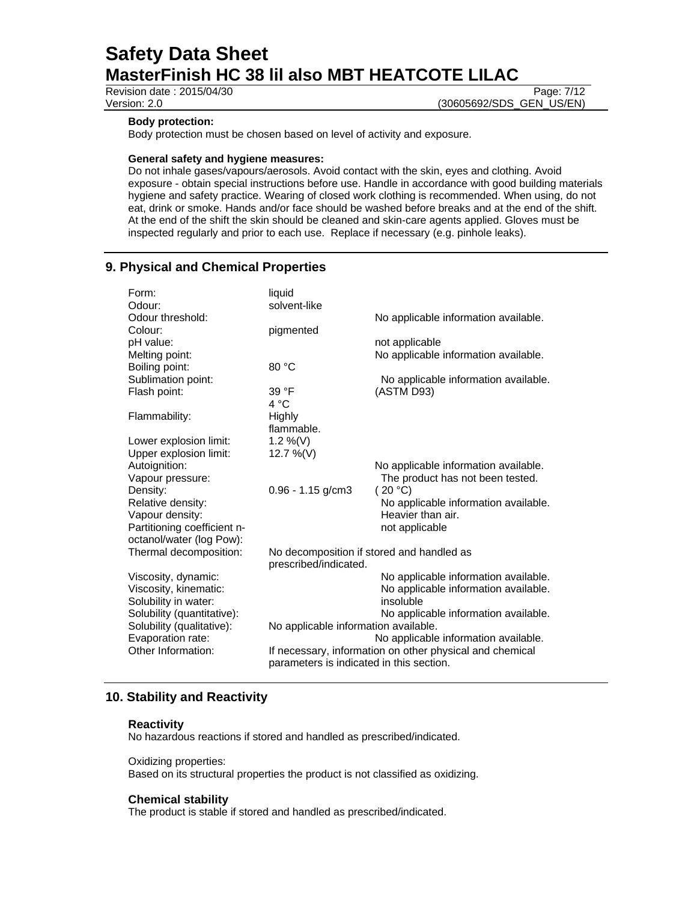Revision date : 2015/04/30 Page: 7/12

Version: 2.0 (30605692/SDS\_GEN\_US/EN)

# **Body protection:**

Body protection must be chosen based on level of activity and exposure.

### **General safety and hygiene measures:**

Do not inhale gases/vapours/aerosols. Avoid contact with the skin, eyes and clothing. Avoid exposure - obtain special instructions before use. Handle in accordance with good building materials hygiene and safety practice. Wearing of closed work clothing is recommended. When using, do not eat, drink or smoke. Hands and/or face should be washed before breaks and at the end of the shift. At the end of the shift the skin should be cleaned and skin-care agents applied. Gloves must be inspected regularly and prior to each use. Replace if necessary (e.g. pinhole leaks).

# **9. Physical and Chemical Properties**

| Form:                       | liquid                                    |                                                          |
|-----------------------------|-------------------------------------------|----------------------------------------------------------|
| Odour:                      | solvent-like                              |                                                          |
| Odour threshold:            |                                           | No applicable information available.                     |
| Colour:                     | pigmented                                 |                                                          |
| pH value:                   |                                           | not applicable                                           |
| Melting point:              |                                           | No applicable information available.                     |
| Boiling point:              | 80 °C                                     |                                                          |
| Sublimation point:          |                                           | No applicable information available.                     |
| Flash point:                | 39 °F                                     | (ASTM D93)                                               |
|                             | 4 °C                                      |                                                          |
| Flammability:               | Highly                                    |                                                          |
|                             | flammable.                                |                                                          |
| Lower explosion limit:      | 1.2 %(V)                                  |                                                          |
| Upper explosion limit:      | 12.7 %(V)                                 |                                                          |
| Autoignition:               |                                           | No applicable information available.                     |
| Vapour pressure:            |                                           | The product has not been tested.                         |
| Density:                    | $0.96 - 1.15$ g/cm3                       | (20 °C)                                                  |
| Relative density:           |                                           | No applicable information available.                     |
| Vapour density:             |                                           | Heavier than air.                                        |
| Partitioning coefficient n- |                                           | not applicable                                           |
| octanol/water (log Pow):    |                                           |                                                          |
| Thermal decomposition:      | No decomposition if stored and handled as |                                                          |
|                             | prescribed/indicated.                     |                                                          |
| Viscosity, dynamic:         |                                           | No applicable information available.                     |
| Viscosity, kinematic:       |                                           | No applicable information available.                     |
| Solubility in water:        |                                           | insoluble                                                |
| Solubility (quantitative):  |                                           | No applicable information available.                     |
| Solubility (qualitative):   | No applicable information available.      |                                                          |
| Evaporation rate:           |                                           | No applicable information available.                     |
| Other Information:          | parameters is indicated in this section.  | If necessary, information on other physical and chemical |

# **10. Stability and Reactivity**

# **Reactivity**

No hazardous reactions if stored and handled as prescribed/indicated.

#### Oxidizing properties:

Based on its structural properties the product is not classified as oxidizing.

### **Chemical stability**

The product is stable if stored and handled as prescribed/indicated.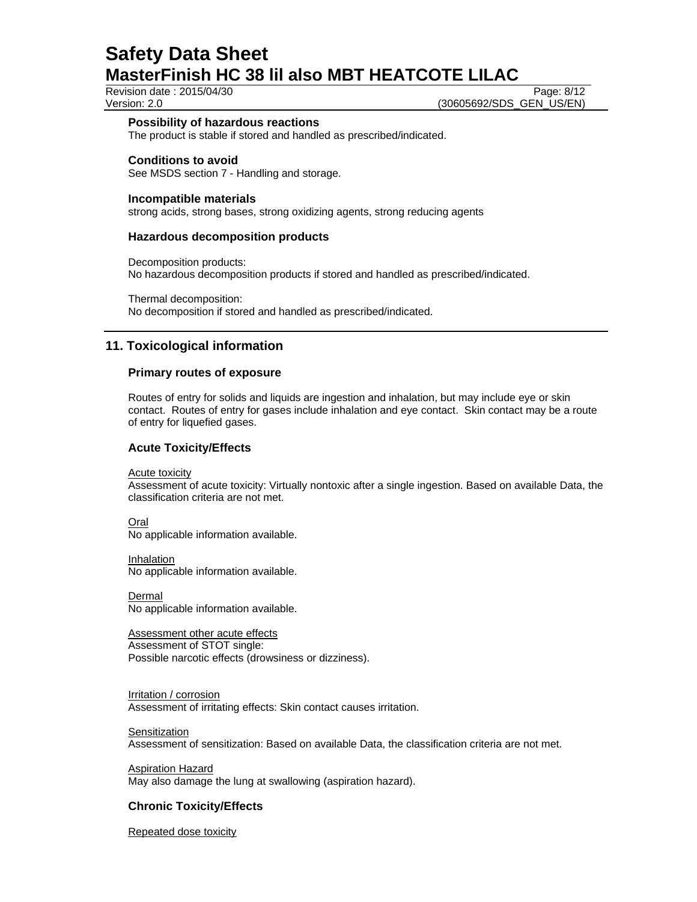Revision date : 2015/04/30 Page: 8/12

Version: 2.0 (30605692/SDS\_GEN\_US/EN)

### **Possibility of hazardous reactions**

The product is stable if stored and handled as prescribed/indicated.

# **Conditions to avoid**

See MSDS section 7 - Handling and storage.

# **Incompatible materials**

strong acids, strong bases, strong oxidizing agents, strong reducing agents

# **Hazardous decomposition products**

Decomposition products: No hazardous decomposition products if stored and handled as prescribed/indicated.

Thermal decomposition: No decomposition if stored and handled as prescribed/indicated.

# **11. Toxicological information**

# **Primary routes of exposure**

Routes of entry for solids and liquids are ingestion and inhalation, but may include eye or skin contact. Routes of entry for gases include inhalation and eye contact. Skin contact may be a route of entry for liquefied gases.

# **Acute Toxicity/Effects**

**Acute toxicity** 

Assessment of acute toxicity: Virtually nontoxic after a single ingestion. Based on available Data, the classification criteria are not met.

Oral No applicable information available.

Inhalation No applicable information available.

Dermal No applicable information available.

Assessment other acute effects Assessment of STOT single: Possible narcotic effects (drowsiness or dizziness).

Irritation / corrosion Assessment of irritating effects: Skin contact causes irritation.

**Sensitization** 

Assessment of sensitization: Based on available Data, the classification criteria are not met.

Aspiration Hazard May also damage the lung at swallowing (aspiration hazard).

# **Chronic Toxicity/Effects**

Repeated dose toxicity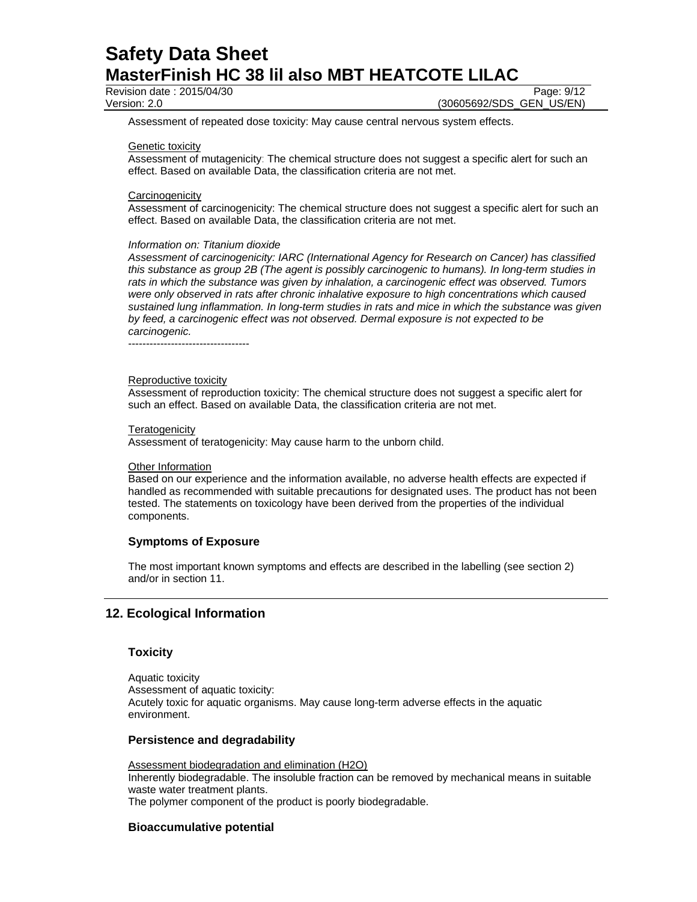Revision date : 2015/04/30 Page: 9/12

Version: 2.0 **(30605692/SDS\_GEN\_US/EN)** 

Assessment of repeated dose toxicity: May cause central nervous system effects.

#### Genetic toxicity

Assessment of mutagenicity: The chemical structure does not suggest a specific alert for such an effect. Based on available Data, the classification criteria are not met.

#### **Carcinogenicity**

Assessment of carcinogenicity: The chemical structure does not suggest a specific alert for such an effect. Based on available Data, the classification criteria are not met.

#### *Information on: Titanium dioxide*

*Assessment of carcinogenicity: IARC (International Agency for Research on Cancer) has classified this substance as group 2B (The agent is possibly carcinogenic to humans). In long-term studies in rats in which the substance was given by inhalation, a carcinogenic effect was observed. Tumors were only observed in rats after chronic inhalative exposure to high concentrations which caused sustained lung inflammation. In long-term studies in rats and mice in which the substance was given by feed, a carcinogenic effect was not observed. Dermal exposure is not expected to be carcinogenic.* 

----------------------------------

#### Reproductive toxicity

Assessment of reproduction toxicity: The chemical structure does not suggest a specific alert for such an effect. Based on available Data, the classification criteria are not met.

#### **Teratogenicity**

Assessment of teratogenicity: May cause harm to the unborn child.

#### **Other Information**

Based on our experience and the information available, no adverse health effects are expected if handled as recommended with suitable precautions for designated uses. The product has not been tested. The statements on toxicology have been derived from the properties of the individual components.

### **Symptoms of Exposure**

The most important known symptoms and effects are described in the labelling (see section 2) and/or in section 11.

# **12. Ecological Information**

# **Toxicity**

Aquatic toxicity Assessment of aquatic toxicity: Acutely toxic for aquatic organisms. May cause long-term adverse effects in the aquatic environment.

# **Persistence and degradability**

Assessment biodegradation and elimination (H2O) Inherently biodegradable. The insoluble fraction can be removed by mechanical means in suitable waste water treatment plants. The polymer component of the product is poorly biodegradable.

### **Bioaccumulative potential**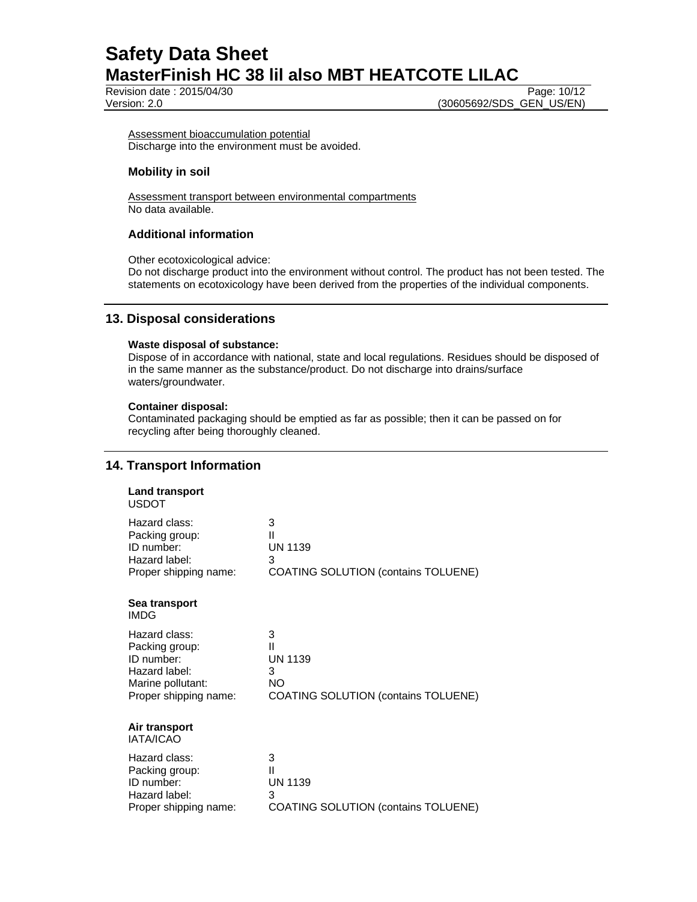**Revision date : 2015/04/30** Page: 10/12

Version: 2.0 (30605692/SDS\_GEN\_US/EN)

Assessment bioaccumulation potential Discharge into the environment must be avoided.

# **Mobility in soil**

Assessment transport between environmental compartments No data available.

# **Additional information**

Other ecotoxicological advice:

Do not discharge product into the environment without control. The product has not been tested. The statements on ecotoxicology have been derived from the properties of the individual components.

# **13. Disposal considerations**

# **Waste disposal of substance:**

Dispose of in accordance with national, state and local regulations. Residues should be disposed of in the same manner as the substance/product. Do not discharge into drains/surface waters/groundwater.

# **Container disposal:**

Contaminated packaging should be emptied as far as possible; then it can be passed on for recycling after being thoroughly cleaned.

# **14. Transport Information**

| <b>Land transport</b><br><b>USDOT</b> |                                            |
|---------------------------------------|--------------------------------------------|
| Hazard class:                         | 3                                          |
| Packing group:                        | Ш                                          |
| ID number:                            | <b>UN 1139</b>                             |
| Hazard label:                         | 3                                          |
| Proper shipping name:                 | <b>COATING SOLUTION (contains TOLUENE)</b> |
| Sea transport<br><b>IMDG</b>          |                                            |
| Hazard class:                         | 3                                          |
| Packing group:                        | Ш                                          |
| ID number:                            | <b>UN 1139</b>                             |
| Hazard label:                         | 3                                          |
| Marine pollutant:                     | NΟ                                         |
| Proper shipping name:                 | <b>COATING SOLUTION (contains TOLUENE)</b> |
| Air transport<br><b>IATA/ICAO</b>     |                                            |
| Hazard class:                         | 3                                          |
| Packing group:                        | Ш                                          |
| ID number:                            | <b>UN 1139</b>                             |
| Hazard label:                         | 3                                          |
| Proper shipping name:                 | <b>COATING SOLUTION (contains TOLUENE)</b> |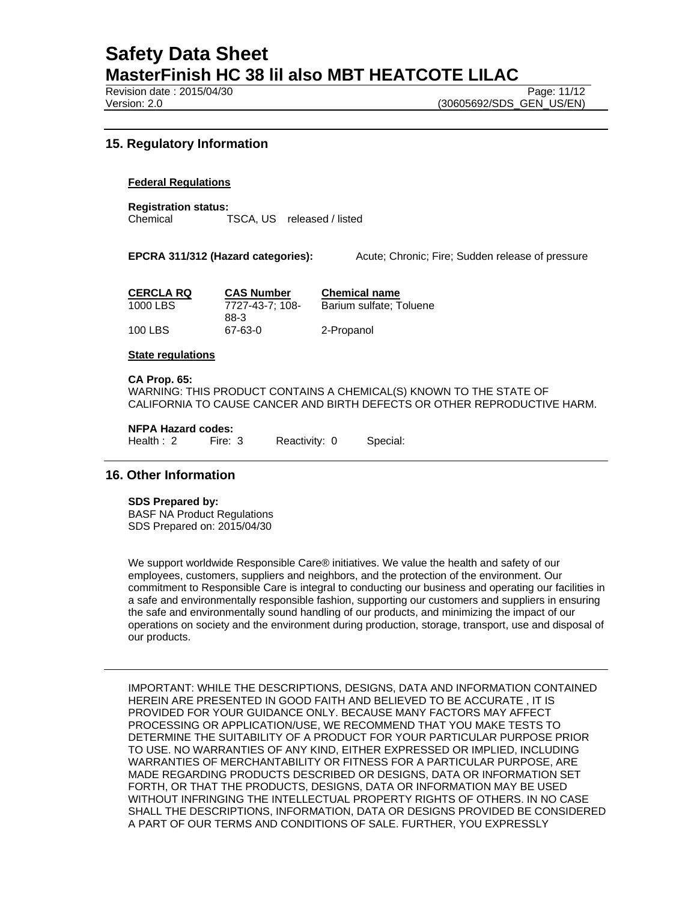Revision date : 2015/04/30 **Page: 11/12** Page: 11/12

Version: 2.0 (30605692/SDS\_GEN\_US/EN)

# **15. Regulatory Information**

# **Federal Regulations**

**Registration status:**  Chemical TSCA, US released / listed

**EPCRA 311/312 (Hazard categories):** Acute; Chronic; Fire; Sudden release of pressure

| <b>CERCLA RQ</b> | <b>CAS Number</b> | <b>Chemical name</b>    |
|------------------|-------------------|-------------------------|
| 1000 LBS         | 7727-43-7: 108-   | Barium sulfate: Toluene |
|                  | 88-3              |                         |
| 100 LBS          | 67-63-0           | 2-Propanol              |

#### **State regulations**

**CA Prop. 65:**  WARNING: THIS PRODUCT CONTAINS A CHEMICAL(S) KNOWN TO THE STATE OF CALIFORNIA TO CAUSE CANCER AND BIRTH DEFECTS OR OTHER REPRODUCTIVE HARM.

#### **NFPA Hazard codes:**

| Health: 2<br>Reactivity: 0<br>Fire: 3 |  | Special: |
|---------------------------------------|--|----------|
|---------------------------------------|--|----------|

# **16. Other Information**

#### **SDS Prepared by:**

BASF NA Product Regulations SDS Prepared on: 2015/04/30

We support worldwide Responsible Care® initiatives. We value the health and safety of our employees, customers, suppliers and neighbors, and the protection of the environment. Our commitment to Responsible Care is integral to conducting our business and operating our facilities in a safe and environmentally responsible fashion, supporting our customers and suppliers in ensuring the safe and environmentally sound handling of our products, and minimizing the impact of our operations on society and the environment during production, storage, transport, use and disposal of our products.

IMPORTANT: WHILE THE DESCRIPTIONS, DESIGNS, DATA AND INFORMATION CONTAINED HEREIN ARE PRESENTED IN GOOD FAITH AND BELIEVED TO BE ACCURATE , IT IS PROVIDED FOR YOUR GUIDANCE ONLY. BECAUSE MANY FACTORS MAY AFFECT PROCESSING OR APPLICATION/USE, WE RECOMMEND THAT YOU MAKE TESTS TO DETERMINE THE SUITABILITY OF A PRODUCT FOR YOUR PARTICULAR PURPOSE PRIOR TO USE. NO WARRANTIES OF ANY KIND, EITHER EXPRESSED OR IMPLIED, INCLUDING WARRANTIES OF MERCHANTABILITY OR FITNESS FOR A PARTICULAR PURPOSE, ARE MADE REGARDING PRODUCTS DESCRIBED OR DESIGNS, DATA OR INFORMATION SET FORTH, OR THAT THE PRODUCTS, DESIGNS, DATA OR INFORMATION MAY BE USED WITHOUT INFRINGING THE INTELLECTUAL PROPERTY RIGHTS OF OTHERS. IN NO CASE SHALL THE DESCRIPTIONS, INFORMATION, DATA OR DESIGNS PROVIDED BE CONSIDERED A PART OF OUR TERMS AND CONDITIONS OF SALE. FURTHER, YOU EXPRESSLY